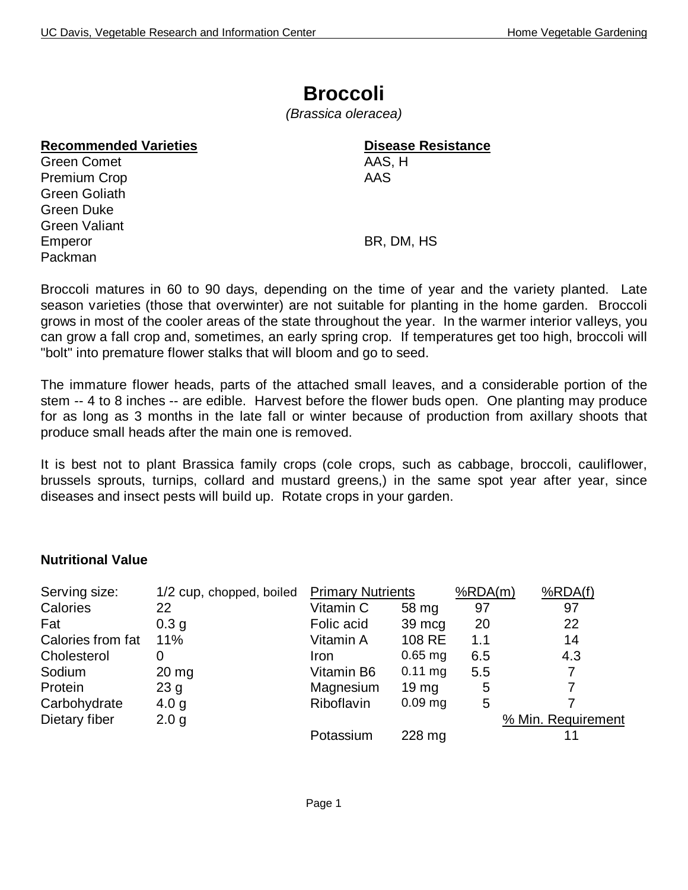## **Broccoli**

*(Brassica oleracea)*

### **Recommended Varieties Disease Resistance**

Green Comet **AAS, H** Premium Crop **AAS** Green Goliath Green Duke Green Valiant Emperor BR, DM, HS Packman

Broccoli matures in 60 to 90 days, depending on the time of year and the variety planted. Late season varieties (those that overwinter) are not suitable for planting in the home garden. Broccoli grows in most of the cooler areas of the state throughout the year. In the warmer interior valleys, you can grow a fall crop and, sometimes, an early spring crop. If temperatures get too high, broccoli will "bolt" into premature flower stalks that will bloom and go to seed.

The immature flower heads, parts of the attached small leaves, and a considerable portion of the stem -- 4 to 8 inches -- are edible. Harvest before the flower buds open. One planting may produce for as long as 3 months in the late fall or winter because of production from axillary shoots that produce small heads after the main one is removed.

It is best not to plant Brassica family crops (cole crops, such as cabbage, broccoli, cauliflower, brussels sprouts, turnips, collard and mustard greens,) in the same spot year after year, since diseases and insect pests will build up. Rotate crops in your garden.

### **Nutritional Value**

| Serving size:     | 1/2 cup, chopped, boiled | <b>Primary Nutrients</b> |                  | %RDA(m) | %RDA(f)            |
|-------------------|--------------------------|--------------------------|------------------|---------|--------------------|
| Calories          | 22                       | Vitamin C                | 58 mg            | 97      | 97                 |
| Fat               | 0.3 <sub>q</sub>         | Folic acid               | 39 mcg           | 20      | 22                 |
| Calories from fat | 11%                      | Vitamin A                | 108 RE           | 1.1     | 14                 |
| Cholesterol       | 0                        | Iron                     | $0.65$ mg        | 6.5     | 4.3                |
| Sodium            | $20 \,\mathrm{mg}$       | Vitamin B6               | $0.11$ mg        | 5.5     | 7                  |
| Protein           | 23 <sub>g</sub>          | Magnesium                | 19 <sub>mg</sub> | 5       |                    |
| Carbohydrate      | 4.0 g                    | Riboflavin               | $0.09$ mg        | 5       |                    |
| Dietary fiber     | 2.0 <sub>g</sub>         |                          |                  |         | % Min. Requirement |
|                   |                          | Potassium                | 228 mg           |         |                    |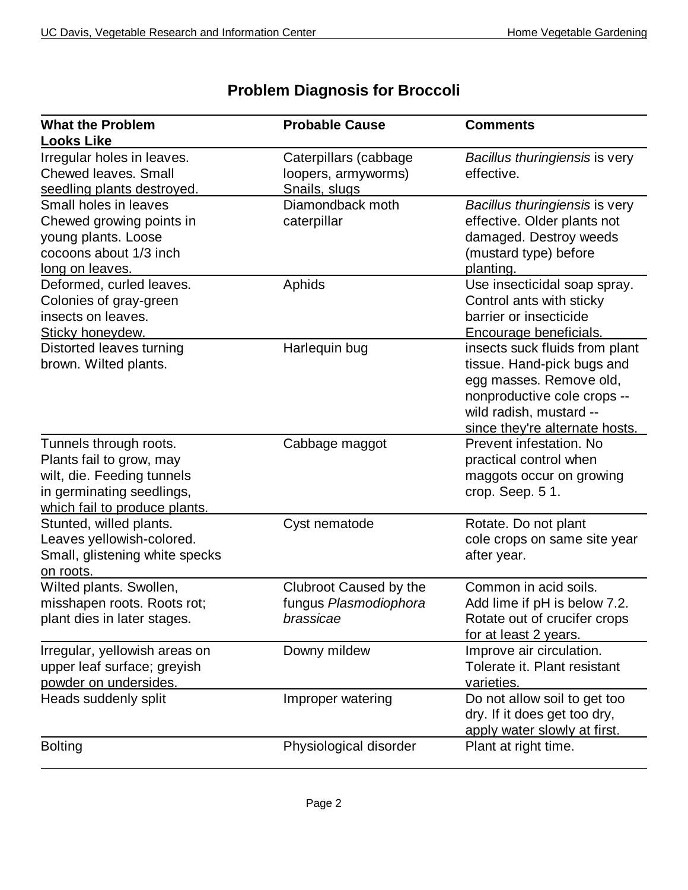| <b>What the Problem</b>                                                                                                                        | <b>Probable Cause</b>                                         | <b>Comments</b>                                                                                                                                                                     |
|------------------------------------------------------------------------------------------------------------------------------------------------|---------------------------------------------------------------|-------------------------------------------------------------------------------------------------------------------------------------------------------------------------------------|
| <b>Looks Like</b>                                                                                                                              |                                                               |                                                                                                                                                                                     |
| Irregular holes in leaves.<br><b>Chewed leaves. Small</b><br>seedling plants destroyed.                                                        | Caterpillars (cabbage<br>loopers, armyworms)<br>Snails, slugs | Bacillus thuringiensis is very<br>effective.                                                                                                                                        |
| Small holes in leaves<br>Chewed growing points in<br>young plants. Loose<br>cocoons about 1/3 inch<br>long on leaves.                          | Diamondback moth<br>caterpillar                               | Bacillus thuringiensis is very<br>effective. Older plants not<br>damaged. Destroy weeds<br>(mustard type) before<br>planting.                                                       |
| Deformed, curled leaves.<br>Colonies of gray-green<br>insects on leaves.<br>Sticky honeydew.                                                   | Aphids                                                        | Use insecticidal soap spray.<br>Control ants with sticky<br>barrier or insecticide<br>Encourage beneficials.                                                                        |
| Distorted leaves turning<br>brown. Wilted plants.                                                                                              | Harlequin bug                                                 | insects suck fluids from plant<br>tissue. Hand-pick bugs and<br>egg masses. Remove old,<br>nonproductive cole crops --<br>wild radish, mustard --<br>since they're alternate hosts. |
| Tunnels through roots.<br>Plants fail to grow, may<br>wilt, die. Feeding tunnels<br>in germinating seedlings,<br>which fail to produce plants. | Cabbage maggot                                                | Prevent infestation. No<br>practical control when<br>maggots occur on growing<br>crop. Seep. 51.                                                                                    |
| Stunted, willed plants.<br>Leaves yellowish-colored.<br>Small, glistening white specks<br>on roots.                                            | Cyst nematode                                                 | Rotate. Do not plant<br>cole crops on same site year<br>after year.                                                                                                                 |
| Wilted plants. Swollen,<br>misshapen roots. Roots rot:<br>plant dies in later stages.                                                          | Clubroot Caused by the<br>fungus Plasmodiophora<br>brassicae  | Common in acid soils.<br>Add lime if pH is below 7.2.<br>Rotate out of crucifer crops<br>for at least 2 years.                                                                      |
| Irregular, yellowish areas on<br>upper leaf surface; greyish<br>powder on undersides.                                                          | Downy mildew                                                  | Improve air circulation.<br>Tolerate it. Plant resistant<br>varieties.                                                                                                              |
| Heads suddenly split                                                                                                                           | Improper watering                                             | Do not allow soil to get too<br>dry. If it does get too dry,<br>apply water slowly at first.                                                                                        |
| <b>Bolting</b>                                                                                                                                 | Physiological disorder                                        | Plant at right time.                                                                                                                                                                |

# **Problem Diagnosis for Broccoli**